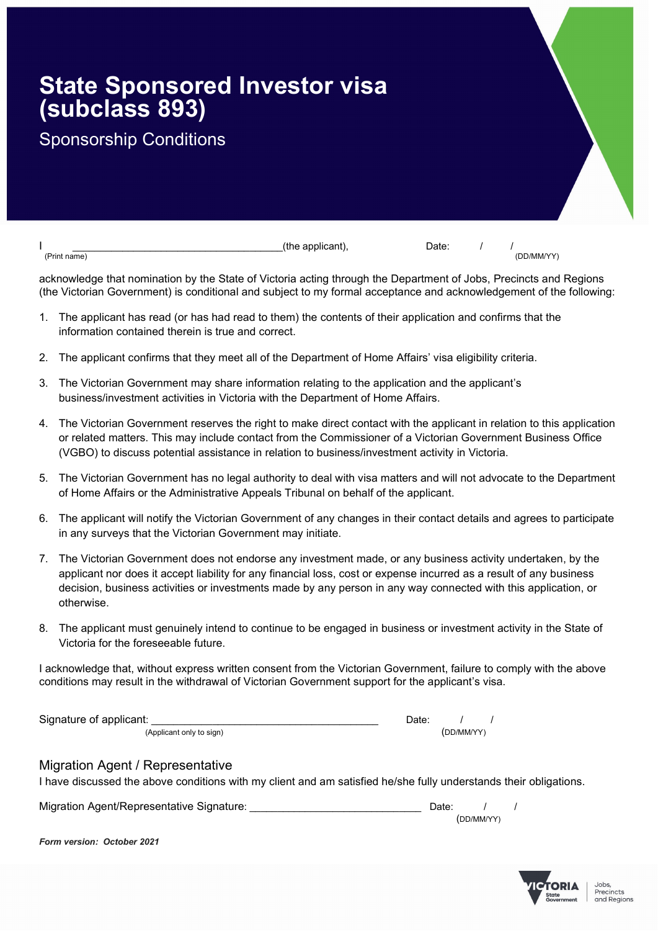## State Sponsored Investor visa (subclass 893)

## Sponsorship Conditions

 $\blacksquare$ 

(Print name) (DD/MM/YY)

acknowledge that nomination by the State of Victoria acting through the Department of Jobs, Precincts and Regions (the Victorian Government) is conditional and subject to my formal acceptance and acknowledgement of the following:

- 1. The applicant has read (or has had read to them) the contents of their application and confirms that the information contained therein is true and correct.
- 2. The applicant confirms that they meet all of the Department of Home Affairs' visa eligibility criteria.
- 3. The Victorian Government may share information relating to the application and the applicant's business/investment activities in Victoria with the Department of Home Affairs.
- 4. The Victorian Government reserves the right to make direct contact with the applicant in relation to this application or related matters. This may include contact from the Commissioner of a Victorian Government Business Office (VGBO) to discuss potential assistance in relation to business/investment activity in Victoria.
- 5. The Victorian Government has no legal authority to deal with visa matters and will not advocate to the Department of Home Affairs or the Administrative Appeals Tribunal on behalf of the applicant.
- 6. The applicant will notify the Victorian Government of any changes in their contact details and agrees to participate in any surveys that the Victorian Government may initiate.
- 7. The Victorian Government does not endorse any investment made, or any business activity undertaken, by the applicant nor does it accept liability for any financial loss, cost or expense incurred as a result of any business decision, business activities or investments made by any person in any way connected with this application, or otherwise.
- 8. The applicant must genuinely intend to continue to be engaged in business or investment activity in the State of Victoria for the foreseeable future.

I acknowledge that, without express written consent from the Victorian Government, failure to comply with the above conditions may result in the withdrawal of Victorian Government support for the applicant's visa.

| Signature of applicant:  | ่ ⊃ate: |            |  |
|--------------------------|---------|------------|--|
| (Applicant only to sign) |         | (DD/MM/YY) |  |

## Migration Agent / Representative

I have discussed the above conditions with my client and am satisfied he/she fully understands their obligations.

| Migration Agent/Representative Signature: | Date: |            |  |
|-------------------------------------------|-------|------------|--|
|                                           |       | (DD/MM/YY) |  |